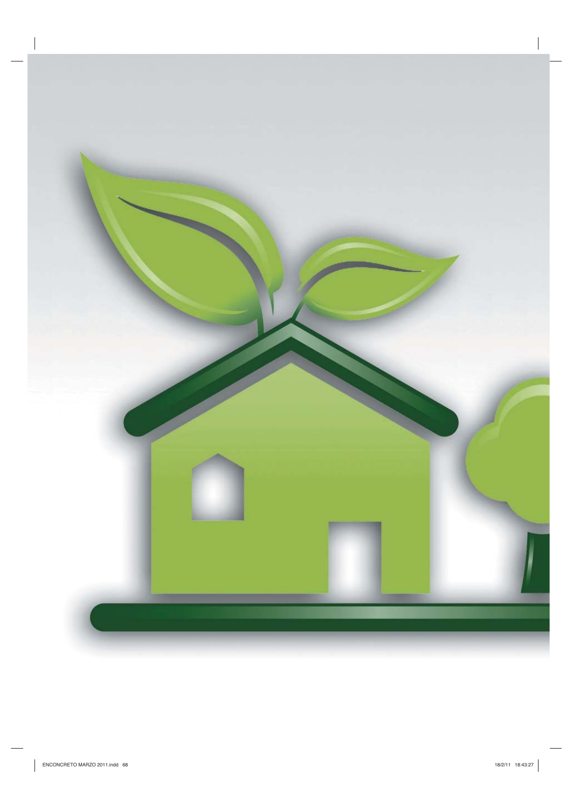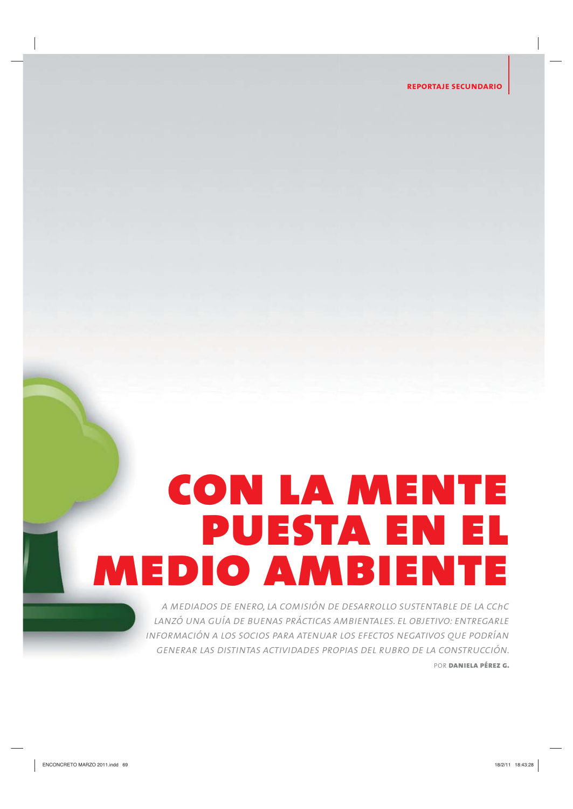**REPORTAJE SECUNDARIO** 

## CONLAMENTE PUESTA EN EL<br>IO AMBIENTE EDIO AMBI

A MEDIADOS DE ENERO, LA COMISIÓN DE DESARROLLO SUSTENTABLE DE LA CChC LANZÓ UNA GUÍA DE BUENAS PRÁCTICAS AMBIENTALES. EL OBJETIVO: ENTREGARLE *INFORMACIÓN A LOS SOCIOS PARA ATENUAR LOS EFECTOS NEGATIVOS OUE PODRÍAN* GENERAR LAS DISTINTAS ACTIVIDADES PROPIAS DEL RUBRO DE LA CONSTRUCCIÓN.

POR **DANIELA PÉREZ G.**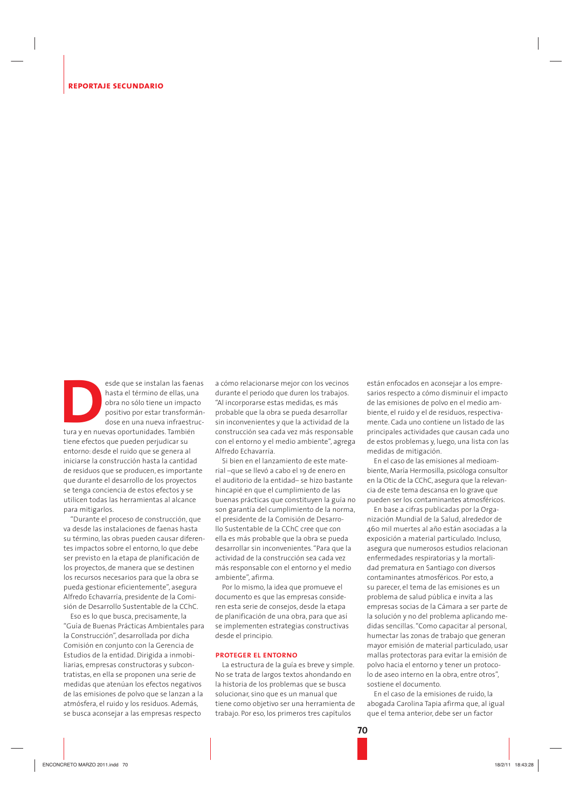## **REPORTAJE SECUNDARIO**

esde que se instalan las faenas hasta el término de ellas, una obra no sólo tiene un impacto positivo por estar transformándose en una nueva infraestructura y en nuevas oportunidades. También tiene efectos que pueden perjudicar su entorno: desde el ruido que se genera al iniciarse la construcción hasta la cantidad de residuos que se producen, es importante que durante el desarrollo de los proyectos se tenga conciencia de estos efectos y se utilicen todas las herramientas al alcance

para mitigarlos. "Durante el proceso de construcción, que va desde las instalaciones de faenas hasta su término, las obras pueden causar diferentes impactos sobre el entorno, lo que debe ser previsto en la etapa de planificación de los proyectos, de manera que se destinen los recursos necesarios para que la obra se pueda gestionar eficientemente", asegura Alfredo Echavarría, presidente de la Comisión de Desarrollo Sustentable de la CChC.

Eso es lo que busca, precisamente, la "Guía de Buenas Prácticas Ambientales para la Construcción", desarrollada por dicha Comisión en conjunto con la Gerencia de Estudios de la entidad. Dirigida a inmobiliarias, empresas constructoras y subcontratistas, en ella se proponen una serie de medidas que atenúan los efectos negativos de las emisiones de polvo que se lanzan a la atmósfera, el ruido y los residuos. Además, se busca aconsejar a las empresas respecto

a cómo relacionarse meior con los vecinos durante el periodo que duren los trabajos. "Al incorporarse estas medidas, es más probable que la obra se pueda desarrollar sin inconvenientes y que la actividad de la construcción sea cada vez más responsable con el entorno y el medio ambiente", agrega Alfredo Echavarría.

Si bien en el lanzamiento de este material -que se llevó a cabo el 19 de enero en el auditorio de la entidad-se hizo bastante hincapié en que el cumplimiento de las buenas prácticas que constituven la guía no son garantía del cumplimiento de la norma, el presidente de la Comisión de Desarro-Ilo Sustentable de la CChC cree que con ella es más probable que la obra se pueda desarrollar sin inconvenientes "Para que la actividad de la construcción sea cada vez más responsable con el entorno y el medio ambiente", afirma.

Por lo mismo, la idea que promueve el documento es que las empresas consideren esta serie de consejos, desde la etapa de planificación de una obra, para que así se implementen estrategias constructivas desde el principio.

## **PROTEGER EL ENTORNO**

La estructura de la guía es breve y simple. No se trata de largos textos ahondando en la historia de los problemas que se busca solucionar, sino que es un manual que tiene como objetivo ser una herramienta de trabajo. Por eso, los primeros tres capítulos

están enfocados en aconseiar a los empresarios respecto a cómo disminuir el impacto de las emisiones de polvo en el medio ambiente, el ruido y el de residuos, respectivamente. Cada uno contiene un listado de las principales actividades que causan cada uno de estos problemas y, luego, una lista con las medidas de mitigación.

En el caso de las emisiones al medioambiente, María Hermosilla, psicóloga consultor en la Otic de la CChC, asegura que la relevancia de este tema descansa en lo grave que pueden ser los contaminantes atmosféricos.

En base a cifras publicadas por la Organización Mundial de la Salud, alrededor de 460 mil muertes al año están asociadas a la exposición a material particulado. Incluso, asegura que numerosos estudios relacionan enfermedades respiratorias y la mortalidad prematura en Santiago con diversos contaminantes atmosféricos. Por esto, a su parecer, el tema de las emisiones es un problema de salud pública e invita a las empresas socias de la Cámara a ser parte de la solución y no del problema aplicando medidas sencillas. "Como capacitar al personal, humectar las zonas de trabajo que generan mayor emisión de material particulado, usar mallas protectoras para evitar la emisión de polvo hacia el entorno y tener un protocolo de aseo interno en la obra, entre otros", sostiene el documento.

En el caso de la emisiones de ruido, la abogada Carolina Tapia afirma que, al igual que el tema anterior, debe ser un factor

70